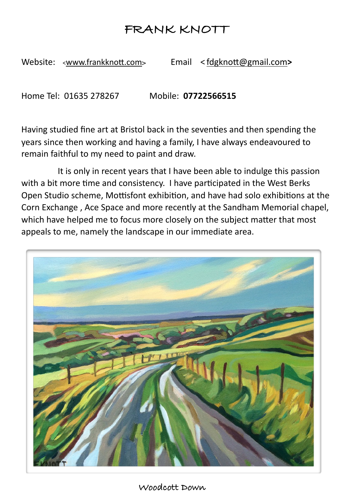## **FRANK KNOTT**

Website: <www.frankknott.com> Email <fdgknott@gmail.com>

Home Tel: 01635 278267 Mobile: 07722566515

Having studied fine art at Bristol back in the seventies and then spending the years since then working and having a family, I have always endeavoured to remain faithful to my need to paint and draw.

It is only in recent years that I have been able to indulge this passion with a bit more time and consistency. I have participated in the West Berks Open Studio scheme, Mottisfont exhibition, and have had solo exhibitions at the Corn Exchange, Ace Space and more recently at the Sandham Memorial chapel, which have helped me to focus more closely on the subject matter that most appeals to me, namely the landscape in our immediate area.

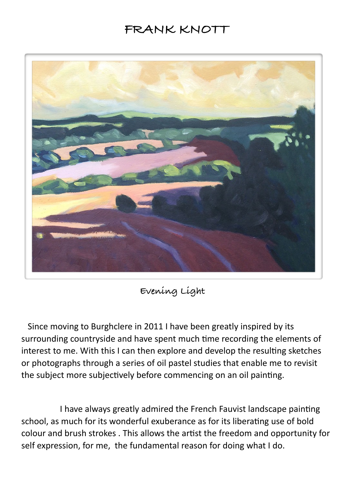## **FRANK KNOTT**



**Evening Light**

Since moving to Burghclere in 2011 I have been greatly inspired by its surrounding countryside and have spent much time recording the elements of interest to me. With this I can then explore and develop the resulting sketches or photographs through a series of oil pastel studies that enable me to revisit the subject more subjectively before commencing on an oil painting.

I have always greatly admired the French Fauvist landscape painting school, as much for its wonderful exuberance as for its liberating use of bold colour and brush strokes . This allows the artist the freedom and opportunity for self expression, for me, the fundamental reason for doing what I do.